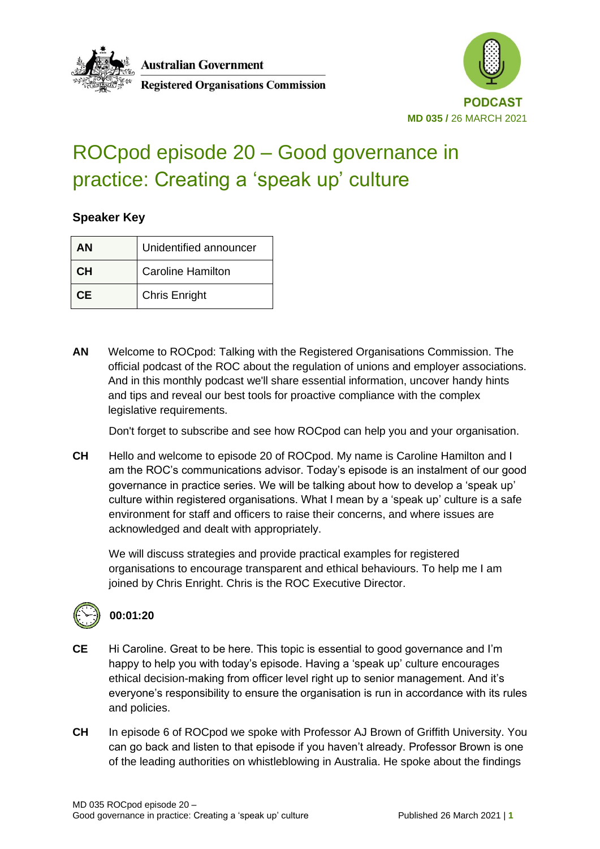



# ROCpod episode 20 – Good governance in practice: Creating a 'speak up' culture

**Registered Organisations Commission** 

#### **Speaker Key**

| ΑN  | Unidentified announcer   |
|-----|--------------------------|
| CН  | <b>Caroline Hamilton</b> |
| CF. | <b>Chris Enright</b>     |

**AN** Welcome to ROCpod: Talking with the Registered Organisations Commission. The official podcast of the ROC about the regulation of unions and employer associations. And in this monthly podcast we'll share essential information, uncover handy hints and tips and reveal our best tools for proactive compliance with the complex legislative requirements.

Don't forget to subscribe and see how ROCpod can help you and your organisation.

**CH** Hello and welcome to episode 20 of ROCpod. My name is Caroline Hamilton and I am the ROC's communications advisor. Today's episode is an instalment of our good governance in practice series. We will be talking about how to develop a 'speak up' culture within registered organisations. What I mean by a 'speak up' culture is a safe environment for staff and officers to raise their concerns, and where issues are acknowledged and dealt with appropriately.

We will discuss strategies and provide practical examples for registered organisations to encourage transparent and ethical behaviours. To help me I am joined by Chris Enright. Chris is the ROC Executive Director.



#### **00:01:20**

- **CE** Hi Caroline. Great to be here. This topic is essential to good governance and I'm happy to help you with today's episode. Having a 'speak up' culture encourages ethical decision-making from officer level right up to senior management. And it's everyone's responsibility to ensure the organisation is run in accordance with its rules and policies.
- **CH** In episode 6 of ROCpod we spoke with Professor AJ Brown of Griffith University. You can go back and listen to that episode if you haven't already. Professor Brown is one of the leading authorities on whistleblowing in Australia. He spoke about the findings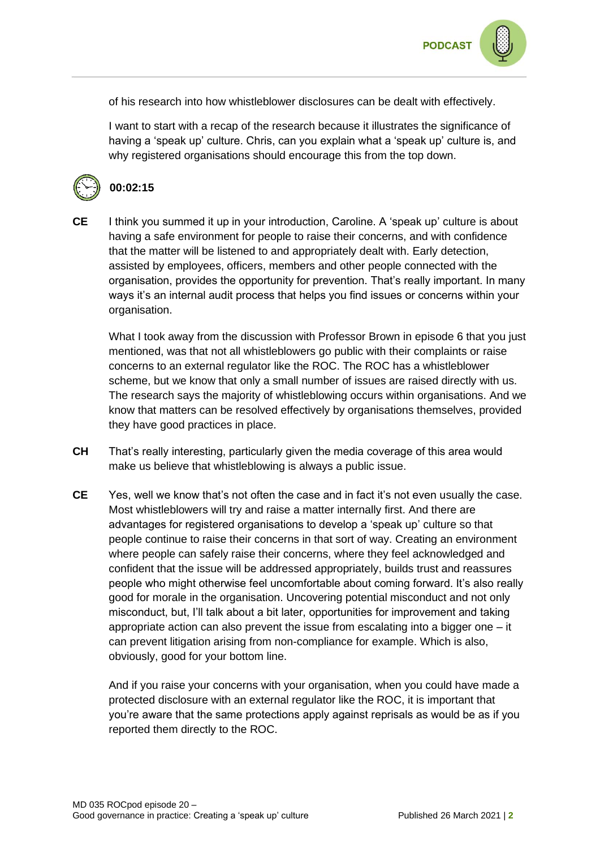

of his research into how whistleblower disclosures can be dealt with effectively.

I want to start with a recap of the research because it illustrates the significance of having a 'speak up' culture. Chris, can you explain what a 'speak up' culture is, and why registered organisations should encourage this from the top down.



#### **00:02:15**

**CE** I think you summed it up in your introduction, Caroline. A 'speak up' culture is about having a safe environment for people to raise their concerns, and with confidence that the matter will be listened to and appropriately dealt with. Early detection, assisted by employees, officers, members and other people connected with the organisation, provides the opportunity for prevention. That's really important. In many ways it's an internal audit process that helps you find issues or concerns within your organisation.

What I took away from the discussion with Professor Brown in episode 6 that you just mentioned, was that not all whistleblowers go public with their complaints or raise concerns to an external regulator like the ROC. The ROC has a whistleblower scheme, but we know that only a small number of issues are raised directly with us. The research says the majority of whistleblowing occurs within organisations. And we know that matters can be resolved effectively by organisations themselves, provided they have good practices in place.

- **CH** That's really interesting, particularly given the media coverage of this area would make us believe that whistleblowing is always a public issue.
- **CE** Yes, well we know that's not often the case and in fact it's not even usually the case. Most whistleblowers will try and raise a matter internally first. And there are advantages for registered organisations to develop a 'speak up' culture so that people continue to raise their concerns in that sort of way. Creating an environment where people can safely raise their concerns, where they feel acknowledged and confident that the issue will be addressed appropriately, builds trust and reassures people who might otherwise feel uncomfortable about coming forward. It's also really good for morale in the organisation. Uncovering potential misconduct and not only misconduct, but, I'll talk about a bit later, opportunities for improvement and taking appropriate action can also prevent the issue from escalating into a bigger one – it can prevent litigation arising from non-compliance for example. Which is also, obviously, good for your bottom line.

And if you raise your concerns with your organisation, when you could have made a protected disclosure with an external regulator like the ROC, it is important that you're aware that the same protections apply against reprisals as would be as if you reported them directly to the ROC.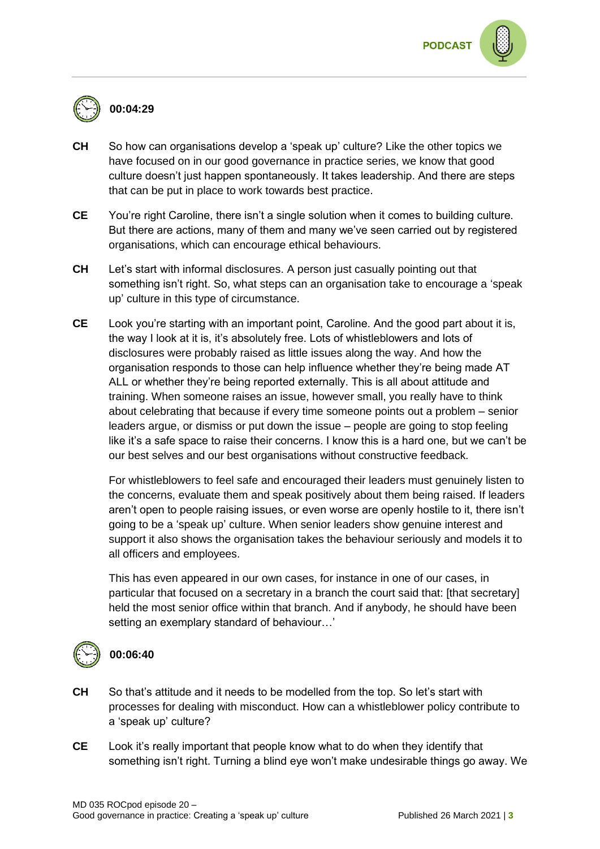

# **00:04:29**

- **CH** So how can organisations develop a 'speak up' culture? Like the other topics we have focused on in our good governance in practice series, we know that good culture doesn't just happen spontaneously. It takes leadership. And there are steps that can be put in place to work towards best practice.
- **CE** You're right Caroline, there isn't a single solution when it comes to building culture. But there are actions, many of them and many we've seen carried out by registered organisations, which can encourage ethical behaviours.
- **CH** Let's start with informal disclosures. A person just casually pointing out that something isn't right. So, what steps can an organisation take to encourage a 'speak up' culture in this type of circumstance.
- **CE** Look you're starting with an important point, Caroline. And the good part about it is, the way I look at it is, it's absolutely free. Lots of whistleblowers and lots of disclosures were probably raised as little issues along the way. And how the organisation responds to those can help influence whether they're being made AT ALL or whether they're being reported externally. This is all about attitude and training. When someone raises an issue, however small, you really have to think about celebrating that because if every time someone points out a problem – senior leaders argue, or dismiss or put down the issue – people are going to stop feeling like it's a safe space to raise their concerns. I know this is a hard one, but we can't be our best selves and our best organisations without constructive feedback.

For whistleblowers to feel safe and encouraged their leaders must genuinely listen to the concerns, evaluate them and speak positively about them being raised. If leaders aren't open to people raising issues, or even worse are openly hostile to it, there isn't going to be a 'speak up' culture. When senior leaders show genuine interest and support it also shows the organisation takes the behaviour seriously and models it to all officers and employees.

This has even appeared in our own cases, for instance in one of our cases, in particular that focused on a secretary in a branch the court said that: [that secretary] held the most senior office within that branch. And if anybody, he should have been setting an exemplary standard of behaviour…'



#### **00:06:40**

- **CH** So that's attitude and it needs to be modelled from the top. So let's start with processes for dealing with misconduct. How can a whistleblower policy contribute to a 'speak up' culture?
- **CE** Look it's really important that people know what to do when they identify that something isn't right. Turning a blind eye won't make undesirable things go away. We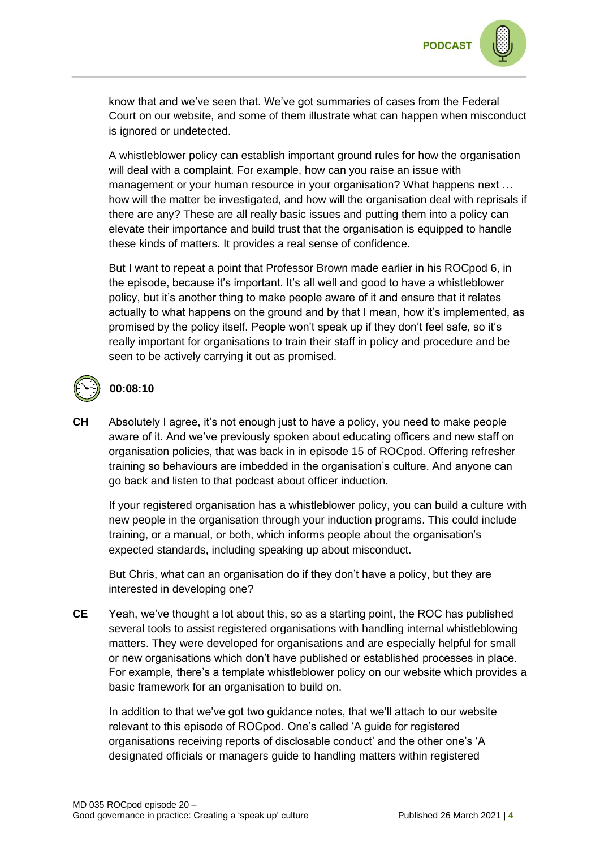

know that and we've seen that. We've got summaries of cases from the Federal Court on our website, and some of them illustrate what can happen when misconduct is ignored or undetected.

A whistleblower policy can establish important ground rules for how the organisation will deal with a complaint. For example, how can you raise an issue with management or your human resource in your organisation? What happens next … how will the matter be investigated, and how will the organisation deal with reprisals if there are any? These are all really basic issues and putting them into a policy can elevate their importance and build trust that the organisation is equipped to handle these kinds of matters. It provides a real sense of confidence.

But I want to repeat a point that Professor Brown made earlier in his ROCpod 6, in the episode, because it's important. It's all well and good to have a whistleblower policy, but it's another thing to make people aware of it and ensure that it relates actually to what happens on the ground and by that I mean, how it's implemented, as promised by the policy itself. People won't speak up if they don't feel safe, so it's really important for organisations to train their staff in policy and procedure and be seen to be actively carrying it out as promised.



#### **00:08:10**

**CH** Absolutely I agree, it's not enough just to have a policy, you need to make people aware of it. And we've previously spoken about educating officers and new staff on organisation policies, that was back in in episode 15 of ROCpod. Offering refresher training so behaviours are imbedded in the organisation's culture. And anyone can go back and listen to that podcast about officer induction.

If your registered organisation has a whistleblower policy, you can build a culture with new people in the organisation through your induction programs. This could include training, or a manual, or both, which informs people about the organisation's expected standards, including speaking up about misconduct.

But Chris, what can an organisation do if they don't have a policy, but they are interested in developing one?

**CE** Yeah, we've thought a lot about this, so as a starting point, the ROC has published several tools to assist registered organisations with handling internal whistleblowing matters. They were developed for organisations and are especially helpful for small or new organisations which don't have published or established processes in place. For example, there's a template whistleblower policy on our website which provides a basic framework for an organisation to build on.

In addition to that we've got two guidance notes, that we'll attach to our website relevant to this episode of ROCpod. One's called 'A guide for registered organisations receiving reports of disclosable conduct' and the other one's 'A designated officials or managers guide to handling matters within registered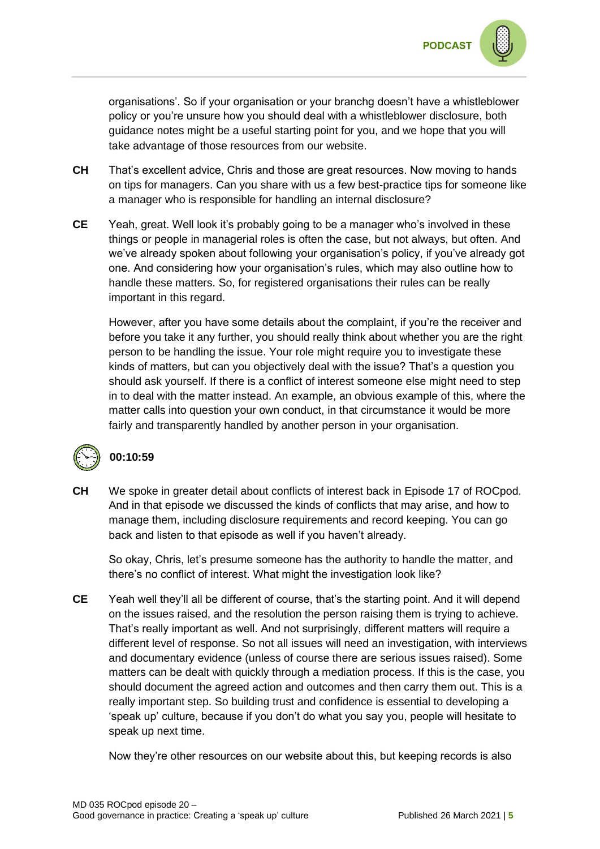

organisations'. So if your organisation or your branchg doesn't have a whistleblower policy or you're unsure how you should deal with a whistleblower disclosure, both guidance notes might be a useful starting point for you, and we hope that you will take advantage of those resources from our website.

- **CH** That's excellent advice, Chris and those are great resources. Now moving to hands on tips for managers. Can you share with us a few best-practice tips for someone like a manager who is responsible for handling an internal disclosure?
- **CE** Yeah, great. Well look it's probably going to be a manager who's involved in these things or people in managerial roles is often the case, but not always, but often. And we've already spoken about following your organisation's policy, if you've already got one. And considering how your organisation's rules, which may also outline how to handle these matters. So, for registered organisations their rules can be really important in this regard.

However, after you have some details about the complaint, if you're the receiver and before you take it any further, you should really think about whether you are the right person to be handling the issue. Your role might require you to investigate these kinds of matters, but can you objectively deal with the issue? That's a question you should ask yourself. If there is a conflict of interest someone else might need to step in to deal with the matter instead. An example, an obvious example of this, where the matter calls into question your own conduct, in that circumstance it would be more fairly and transparently handled by another person in your organisation.



#### **00:10:59**

**CH** We spoke in greater detail about conflicts of interest back in Episode 17 of ROCpod. And in that episode we discussed the kinds of conflicts that may arise, and how to manage them, including disclosure requirements and record keeping. You can go back and listen to that episode as well if you haven't already.

So okay, Chris, let's presume someone has the authority to handle the matter, and there's no conflict of interest. What might the investigation look like?

**CE** Yeah well they'll all be different of course, that's the starting point. And it will depend on the issues raised, and the resolution the person raising them is trying to achieve. That's really important as well. And not surprisingly, different matters will require a different level of response. So not all issues will need an investigation, with interviews and documentary evidence (unless of course there are serious issues raised). Some matters can be dealt with quickly through a mediation process. If this is the case, you should document the agreed action and outcomes and then carry them out. This is a really important step. So building trust and confidence is essential to developing a 'speak up' culture, because if you don't do what you say you, people will hesitate to speak up next time.

Now they're other resources on our website about this, but keeping records is also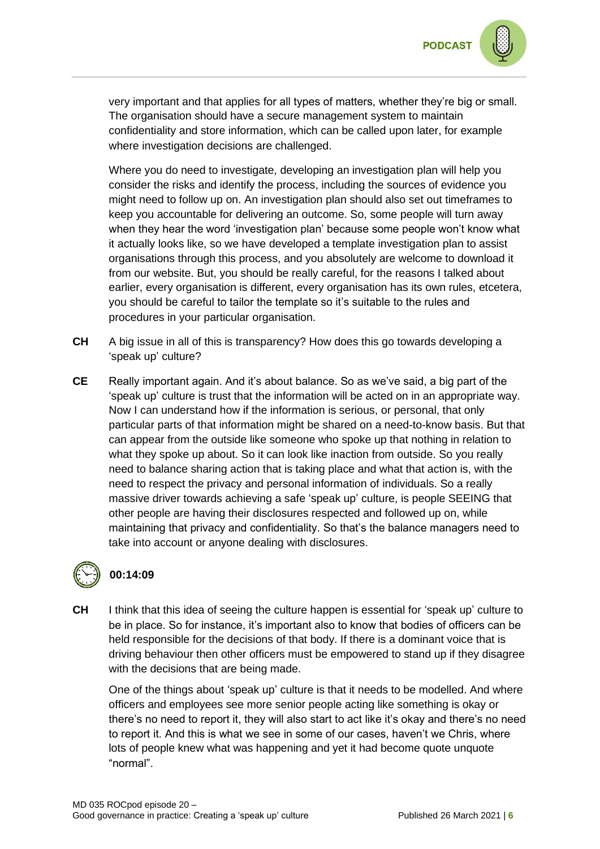

very important and that applies for all types of matters, whether they're big or small. The organisation should have a secure management system to maintain confidentiality and store information, which can be called upon later, for example where investigation decisions are challenged.

Where you do need to investigate, developing an investigation plan will help you consider the risks and identify the process, including the sources of evidence you might need to follow up on. An investigation plan should also set out timeframes to keep you accountable for delivering an outcome. So, some people will turn away when they hear the word 'investigation plan' because some people won't know what it actually looks like, so we have developed a template investigation plan to assist organisations through this process, and you absolutely are welcome to download it from our website. But, you should be really careful, for the reasons I talked about earlier, every organisation is different, every organisation has its own rules, etcetera, you should be careful to tailor the template so it's suitable to the rules and procedures in your particular organisation.

- **CH** A big issue in all of this is transparency? How does this go towards developing a 'speak up' culture?
- **CE** Really important again. And it's about balance. So as we've said, a big part of the 'speak up' culture is trust that the information will be acted on in an appropriate way. Now I can understand how if the information is serious, or personal, that only particular parts of that information might be shared on a need-to-know basis. But that can appear from the outside like someone who spoke up that nothing in relation to what they spoke up about. So it can look like inaction from outside. So you really need to balance sharing action that is taking place and what that action is, with the need to respect the privacy and personal information of individuals. So a really massive driver towards achieving a safe 'speak up' culture, is people SEEING that other people are having their disclosures respected and followed up on, while maintaining that privacy and confidentiality. So that's the balance managers need to take into account or anyone dealing with disclosures.

## **00:14:09**

**CH** I think that this idea of seeing the culture happen is essential for 'speak up' culture to be in place. So for instance, it's important also to know that bodies of officers can be held responsible for the decisions of that body. If there is a dominant voice that is driving behaviour then other officers must be empowered to stand up if they disagree with the decisions that are being made.

One of the things about 'speak up' culture is that it needs to be modelled. And where officers and employees see more senior people acting like something is okay or there's no need to report it, they will also start to act like it's okay and there's no need to report it. And this is what we see in some of our cases, haven't we Chris, where lots of people knew what was happening and yet it had become quote unquote "normal".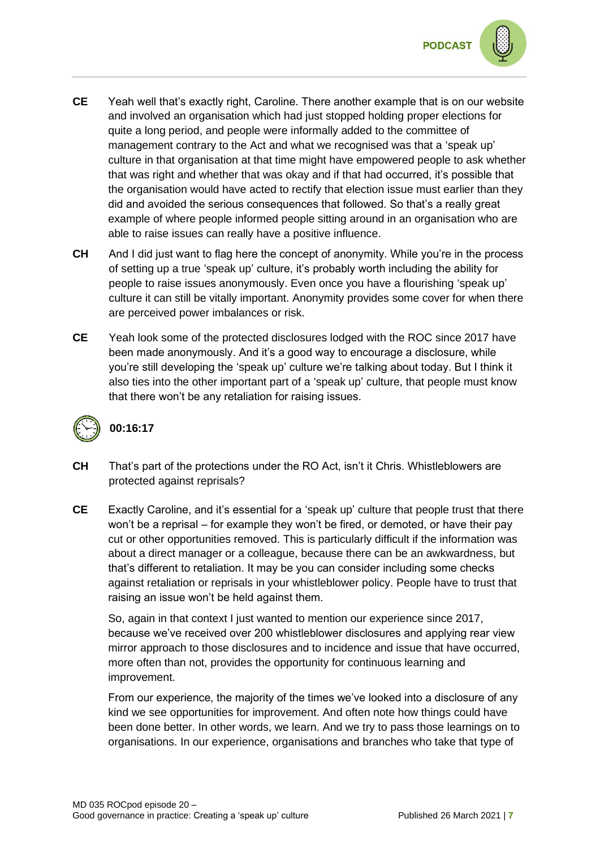

- **CE** Yeah well that's exactly right, Caroline. There another example that is on our website and involved an organisation which had just stopped holding proper elections for quite a long period, and people were informally added to the committee of management contrary to the Act and what we recognised was that a 'speak up' culture in that organisation at that time might have empowered people to ask whether that was right and whether that was okay and if that had occurred, it's possible that the organisation would have acted to rectify that election issue must earlier than they did and avoided the serious consequences that followed. So that's a really great example of where people informed people sitting around in an organisation who are able to raise issues can really have a positive influence.
- **CH** And I did just want to flag here the concept of anonymity. While you're in the process of setting up a true 'speak up' culture, it's probably worth including the ability for people to raise issues anonymously. Even once you have a flourishing 'speak up' culture it can still be vitally important. Anonymity provides some cover for when there are perceived power imbalances or risk.
- **CE** Yeah look some of the protected disclosures lodged with the ROC since 2017 have been made anonymously. And it's a good way to encourage a disclosure, while you're still developing the 'speak up' culture we're talking about today. But I think it also ties into the other important part of a 'speak up' culture, that people must know that there won't be any retaliation for raising issues.



#### **00:16:17**

- **CH** That's part of the protections under the RO Act, isn't it Chris. Whistleblowers are protected against reprisals?
- **CE** Exactly Caroline, and it's essential for a 'speak up' culture that people trust that there won't be a reprisal – for example they won't be fired, or demoted, or have their pay cut or other opportunities removed. This is particularly difficult if the information was about a direct manager or a colleague, because there can be an awkwardness, but that's different to retaliation. It may be you can consider including some checks against retaliation or reprisals in your whistleblower policy. People have to trust that raising an issue won't be held against them.

So, again in that context I just wanted to mention our experience since 2017, because we've received over 200 whistleblower disclosures and applying rear view mirror approach to those disclosures and to incidence and issue that have occurred, more often than not, provides the opportunity for continuous learning and improvement.

From our experience, the majority of the times we've looked into a disclosure of any kind we see opportunities for improvement. And often note how things could have been done better. In other words, we learn. And we try to pass those learnings on to organisations. In our experience, organisations and branches who take that type of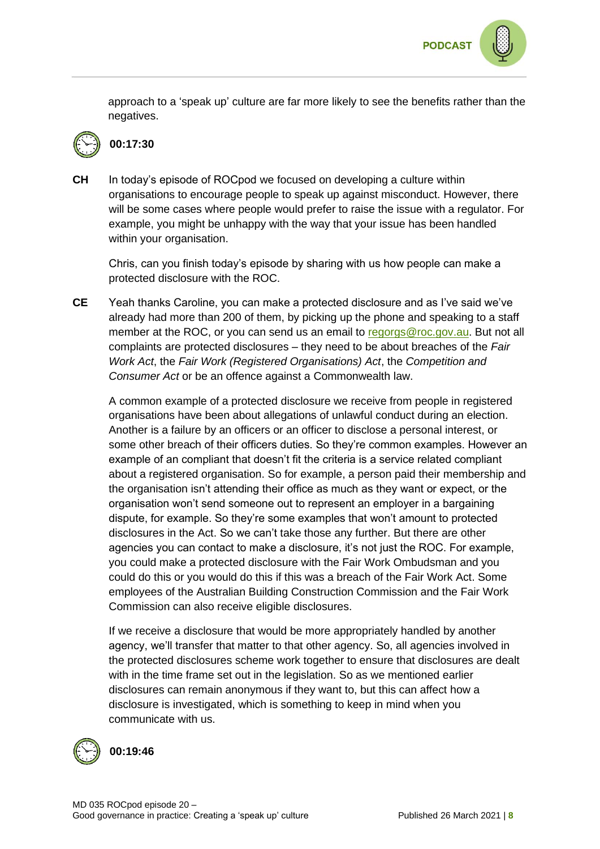



### **00:17:30**

**CH** In today's episode of ROCpod we focused on developing a culture within organisations to encourage people to speak up against misconduct. However, there will be some cases where people would prefer to raise the issue with a regulator. For example, you might be unhappy with the way that your issue has been handled within your organisation.

Chris, can you finish today's episode by sharing with us how people can make a protected disclosure with the ROC.

**CE** Yeah thanks Caroline, you can make a protected disclosure and as I've said we've already had more than 200 of them, by picking up the phone and speaking to a staff member at the ROC, or you can send us an email to [regorgs@roc.gov.au.](mailto:regorgs@roc.gov.au) But not all complaints are protected disclosures – they need to be about breaches of the *Fair Work Act*, the *Fair Work (Registered Organisations) Act*, the *Competition and Consumer Act* or be an offence against a Commonwealth law.

A common example of a protected disclosure we receive from people in registered organisations have been about allegations of unlawful conduct during an election. Another is a failure by an officers or an officer to disclose a personal interest, or some other breach of their officers duties. So they're common examples. However an example of an compliant that doesn't fit the criteria is a service related compliant about a registered organisation. So for example, a person paid their membership and the organisation isn't attending their office as much as they want or expect, or the organisation won't send someone out to represent an employer in a bargaining dispute, for example. So they're some examples that won't amount to protected disclosures in the Act. So we can't take those any further. But there are other agencies you can contact to make a disclosure, it's not just the ROC. For example, you could make a protected disclosure with the Fair Work Ombudsman and you could do this or you would do this if this was a breach of the Fair Work Act. Some employees of the Australian Building Construction Commission and the Fair Work Commission can also receive eligible disclosures.

If we receive a disclosure that would be more appropriately handled by another agency, we'll transfer that matter to that other agency. So, all agencies involved in the protected disclosures scheme work together to ensure that disclosures are dealt with in the time frame set out in the legislation. So as we mentioned earlier disclosures can remain anonymous if they want to, but this can affect how a disclosure is investigated, which is something to keep in mind when you communicate with us.



**00:19:46**